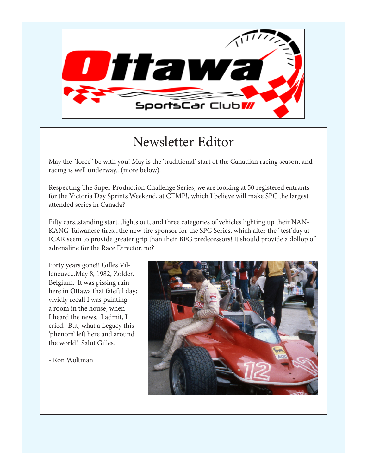

#### Newsletter Editor

May the "force" be with you! May is the 'traditional' start of the Canadian racing season, and racing is well underway...(more below).

Respecting The Super Production Challenge Series, we are looking at 50 registered entrants for the Victoria Day Sprints Weekend, at CTMP!, which I believe will make SPC the largest attended series in Canada?

Fifty cars..standing start...lights out, and three categories of vehicles lighting up their NAN-KANG Taiwanese tires...the new tire sponsor for the SPC Series, which after the "test"day at ICAR seem to provide greater grip than their BFG predecessors! It should provide a dollop of adrenaline for the Race Director. no?

Forty years gone!! Gilles Villeneuve...May 8, 1982, Zolder, Belgium. It was pissing rain here in Ottawa that fateful day; vividly recall I was painting a room in the house, when I heard the news. I admit, I cried. But, what a Legacy this 'phenom' left here and around the world! Salut Gilles.

- Ron Woltman

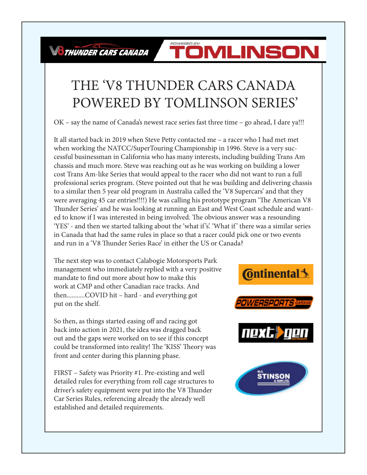THUNDER CARS CANADA

#### POWERED BY: TOMLINSON

#### THE 'V8 THUNDER CARS CANADA POWERED BY TOMLINSON SERIES'

OK – say the name of Canada's newest race series fast three time – go ahead, I dare ya!!!

It all started back in 2019 when Steve Petty contacted me – a racer who I had met met when working the NATCC/SuperTouring Championship in 1996. Steve is a very successful businessman in California who has many interests, including building Trans Am chassis and much more. Steve was reaching out as he was working on building a lower cost Trans Am-like Series that would appeal to the racer who did not want to run a full professional series program. (Steve pointed out that he was building and delivering chassis to a similar then 5 year old program in Australia called the 'V8 Supercars' and that they were averaging 45 car entries!!!!) He was calling his prototype program 'The American V8 Thunder Series' and he was looking at running an East and West Coast schedule and wanted to know if I was interested in being involved. The obvious answer was a resounding 'YES' - and then we started talking about the 'what if 's'. 'What if ' there was a similar series in Canada that had the same rules in place so that a racer could pick one or two events and run in a 'V8 Thunder Series Race' in either the US or Canada?

The next step was to contact Calabogie Motorsports Park management who immediately replied with a very positive mandate to find out more about how to make this work at CMP and other Canadian race tracks. And then...........COVID hit – hard - and everything got put on the shelf.

So then, as things started easing off and racing got back into action in 2021, the idea was dragged back out and the gaps were worked on to see if this concept could be transformed into reality! The 'KISS' Theory was front and center during this planning phase.

FIRST – Safety was Priority #1. Pre-existing and well detailed rules for everything from roll cage structures to driver's safety equipment were put into the V8 Thunder Car Series Rules, referencing already the already well established and detailed requirements.

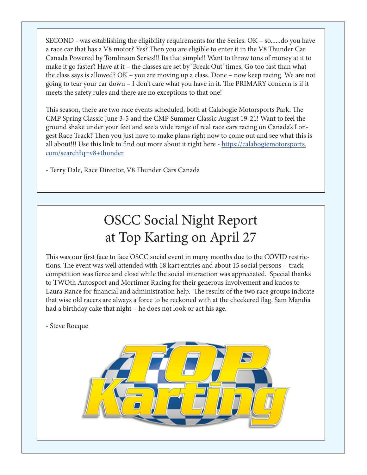SECOND - was establishing the eligibility requirements for the Series. OK – so......do you have a race car that has a V8 motor? Yes? Then you are eligible to enter it in the V8 Thunder Car Canada Powered by Tomlinson Series!!! Its that simple!! Want to throw tons of money at it to make it go faster? Have at it – the classes are set by 'Break Out' times. Go too fast than what the class says is allowed? OK – you are moving up a class. Done – now keep racing. We are not going to tear your car down – I don't care what you have in it. The PRIMARY concern is if it meets the safety rules and there are no exceptions to that one!

This season, there are two race events scheduled, both at Calabogie Motorsports Park. The CMP Spring Classic June 3-5 and the CMP Summer Classic August 19-21! Want to feel the ground shake under your feet and see a wide range of real race cars racing on Canada's Longest Race Track? Then you just have to make plans right now to come out and see what this is all about!!! Use this link to find out more about it right here - https://calabogiemotorsports. com/search?q=v8+thunder

- Terry Dale, Race Director, V8 Thunder Cars Canada

## OSCC Social Night Report at Top Karting on April 27

This was our first face to face OSCC social event in many months due to the COVID restrictions. The event was well attended with 18 kart entries and about 15 social persons - track competition was fierce and close while the social interaction was appreciated. Special thanks to TWOth Autosport and Mortimer Racing for their generous involvement and kudos to Laura Rance for financial and administration help. The results of the two race groups indicate that wise old racers are always a force to be reckoned with at the checkered flag. Sam Mandia had a birthday cake that night – he does not look or act his age.

- Steve Rocque

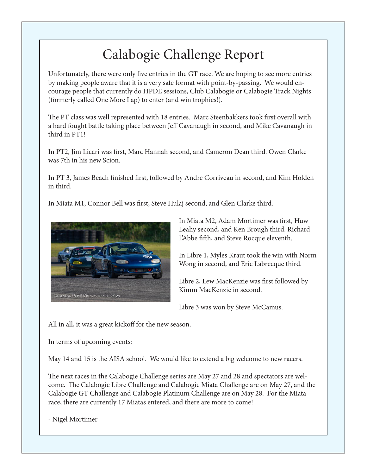## Calabogie Challenge Report

Unfortunately, there were only five entries in the GT race. We are hoping to see more entries by making people aware that it is a very safe format with point-by-passing. We would encourage people that currently do HPDE sessions, Club Calabogie or Calabogie Track Nights (formerly called One More Lap) to enter (and win trophies!).

The PT class was well represented with 18 entries. Marc Steenbakkers took first overall with a hard fought battle taking place between Jeff Cavanaugh in second, and Mike Cavanaugh in third in PT1!

In PT2, Jim Licari was first, Marc Hannah second, and Cameron Dean third. Owen Clarke was 7th in his new Scion.

In PT 3, James Beach finished first, followed by Andre Corriveau in second, and Kim Holden in third.

In Miata M1, Connor Bell was first, Steve Hulaj second, and Glen Clarke third.



In Miata M2, Adam Mortimer was first, Huw Leahy second, and Ken Brough third. Richard L'Abbe fifth, and Steve Rocque eleventh.

In Libre 1, Myles Kraut took the win with Norm Wong in second, and Eric Labrecque third.

Libre 2, Lew MacKenzie was first followed by Kimm MacKenzie in second.

Libre 3 was won by Steve McCamus.

All in all, it was a great kickoff for the new season.

In terms of upcoming events:

May 14 and 15 is the AISA school. We would like to extend a big welcome to new racers.

The next races in the Calabogie Challenge series are May 27 and 28 and spectators are welcome. The Calabogie Libre Challenge and Calabogie Miata Challenge are on May 27, and the Calabogie GT Challenge and Calabogie Platinum Challenge are on May 28. For the Miata race, there are currently 17 Miatas entered, and there are more to come!

- Nigel Mortimer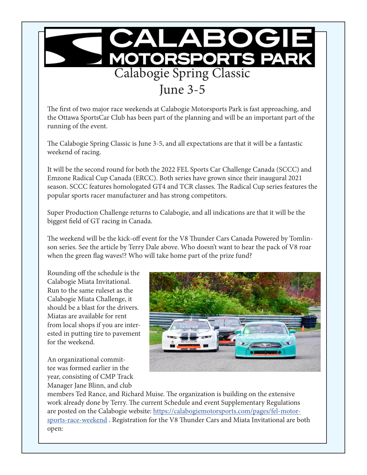

The first of two major race weekends at Calabogie Motorsports Park is fast approaching, and the Ottawa SportsCar Club has been part of the planning and will be an important part of the running of the event.

The Calabogie Spring Classic is June 3-5, and all expectations are that it will be a fantastic weekend of racing.

It will be the second round for both the 2022 FEL Sports Car Challenge Canada (SCCC) and Emzone Radical Cup Canada (ERCC). Both series have grown since their inaugural 2021 season. SCCC features homologated GT4 and TCR classes. The Radical Cup series features the popular sports racer manufacturer and has strong competitors.

Super Production Challenge returns to Calabogie, and all indications are that it will be the biggest field of GT racing in Canada.

The weekend will be the kick-off event for the V8 Thunder Cars Canada Powered by Tomlinson series. See the article by Terry Dale above. Who doesn't want to hear the pack of V8 roar when the green flag waves!? Who will take home part of the prize fund?

Rounding off the schedule is the Calabogie Miata Invitational. Run to the same ruleset as the Calabogie Miata Challenge, it should be a blast for the drivers. Miatas are available for rent from local shops if you are interested in putting tire to pavement for the weekend.

An organizational committee was formed earlier in the year, consisting of CMP Track Manager Jane Blinn, and club



members Ted Rance, and Richard Muise. The organization is building on the extensive work already done by Terry. The current Schedule and event Supplementary Regulations are posted on the Calabogie website: https://calabogiemotorsports.com/pages/fel-motorsports-race-weekend . Registration for the V8 Thunder Cars and Miata Invitational are both open: